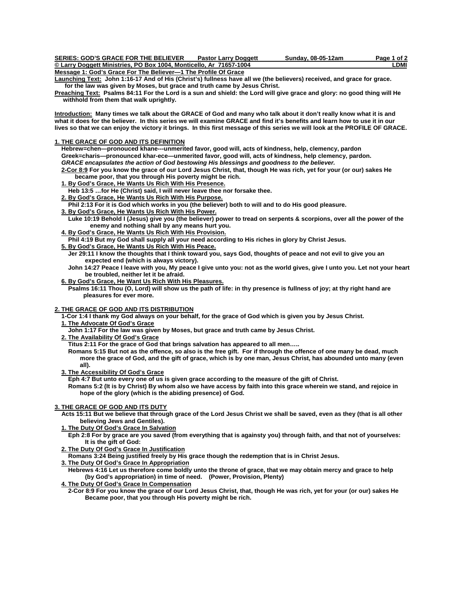| <b>SERIES: GOD'S GRACE FOR THE BELIEVER</b>                        | <b>Pastor Larry Doggett</b> | Sunday, 08-05-12am | Page 1 of 2 |
|--------------------------------------------------------------------|-----------------------------|--------------------|-------------|
| © Larry Doggett Ministries, PO Box 1004, Monticello, Ar 71657-1004 |                             |                    | LDMI        |
| Massache Ale Mar Adding Fro The Ballocare of The Bartle At Adding  |                             |                    |             |

**Message 1: God's Grace For The Believer—1 The Profile Of Grace**

**Launching Text: John 1:16-17 And of His (Christ's) fullness have all we (the believers) received, and grace for grace. for the law was given by Moses, but grace and truth came by Jesus Christ.** 

**Preaching Text: Psalms 84:11 For the Lord is a sun and shield: the Lord will give grace and glory: no good thing will He withhold from them that walk uprightly.** 

**Introduction: Many times we talk about the GRACE of God and many who talk about it don't really know what it is and what it does for the believer. In this series we will examine GRACE and find it's benefits and learn how to use it in our lives so that we can enjoy the victory it brings. In this first message of this series we will look at the PROFILE OF GRACE.** 

## **1. THE GRACE OF GOD AND ITS DEFINITION**

 **Hebrew=chen—pronouced khane---unmerited favor, good will, acts of kindness, help, clemency, pardon Greek=charis—pronounced khar-ece—unmerited favor, good will, acts of kindness, help clemency, pardon.** 

*GRACE encapsulates the action of God bestowing His blessings and goodness to the believer.* 

 **2-Cor 8:9 For you know the grace of our Lord Jesus Christ, that, though He was rich, yet for your (or our) sakes He became poor, that you through His poverty might be rich.** 

- **1. By God's Grace, He Wants Us Rich With His Presence.**
- **Heb 13:5 …for He (Christ) said, I will never leave thee nor forsake thee.**
- **2. By God's Grace, He Wants Us Rich With His Purpose.**
- **Phil 2:13 For it is God which works in you (the believer) both to will and to do His good pleasure.**
- **3. By God's Grace, He Wants Us Rich With His Power.**

 **Luke 10:19 Behold I (Jesus) give you (the believer) power to tread on serpents & scorpions, over all the power of the enemy and nothing shall by any means hurt you.** 

 **4. By God's Grace, He Wants Us Rich With His Provision.**

 **Phil 4:19 But my God shall supply all your need according to His riches in glory by Christ Jesus.** 

- **5. By God's Grace, He Wants Us Rich With His Peace.**
	- **Jer 29:11 I know the thoughts that I think toward you, says God, thoughts of peace and not evil to give you an expected end (which is always victory).**
	- **John 14:27 Peace I leave with you, My peace I give unto you: not as the world gives, give I unto you. Let not your heart be troubled, neither let it be afraid.**

 **6. By God's Grace, He Want Us Rich With His Pleasures.**

 **Psalms 16:11 Thou (O, Lord) will show us the path of life: in thy presence is fullness of joy; at thy right hand are pleasures for ever more.** 

## **2. THE GRACE OF GOD AND ITS DISTRIBUTION**

 **1-Cor 1:4 I thank my God always on your behalf, for the grace of God which is given you by Jesus Christ.** 

 **1. The Advocate Of God's Grace**

- **John 1:17 For the law was given by Moses, but grace and truth came by Jesus Christ.**
- **2. The Availability Of God's Grace**

 **Titus 2:11 For the grace of God that brings salvation has appeared to all men…..** 

 **Romans 5:15 But not as the offence, so also is the free gift. For if through the offence of one many be dead, much more the grace of God, and the gift of grace, which is by one man, Jesus Christ, has abounded unto many (even all).** 

## **3. The Accessibility Of God's Grace**

 **Eph 4:7 But unto every one of us is given grace according to the measure of the gift of Christ.** 

 **Romans 5:2 (It is by Christ) By whom also we have access by faith into this grace wherein we stand, and rejoice in hope of the glory (which is the abiding presence) of God.** 

# **3. THE GRACE OF GOD AND ITS DUTY**

 **Acts 15:11 But we believe that through grace of the Lord Jesus Christ we shall be saved, even as they (that is all other believing Jews and Gentiles).** 

- **1. The Duty Of God's Grace In Salvation**
- **Eph 2:8 For by grace are you saved (from everything that is againsty you) through faith, and that not of yourselves: It is the gift of God:**
- **2. The Duty Of God's Grace In Justification**

 **Romans 3:24 Being justified freely by His grace though the redemption that is in Christ Jesus.** 

 **3. The Duty Of God's Grace In Appropriation**

 **Hebrews 4:16 Let us therefore come boldly unto the throne of grace, that we may obtain mercy and grace to help (by God's appropriation) in time of need. (Power, Provision, Plenty)** 

 **4. The Duty Of God's Grace In Compensation**

 **2-Cor 8:9 For you know the grace of our Lord Jesus Christ, that, though He was rich, yet for your (or our) sakes He Became poor, that you through His poverty might be rich.**